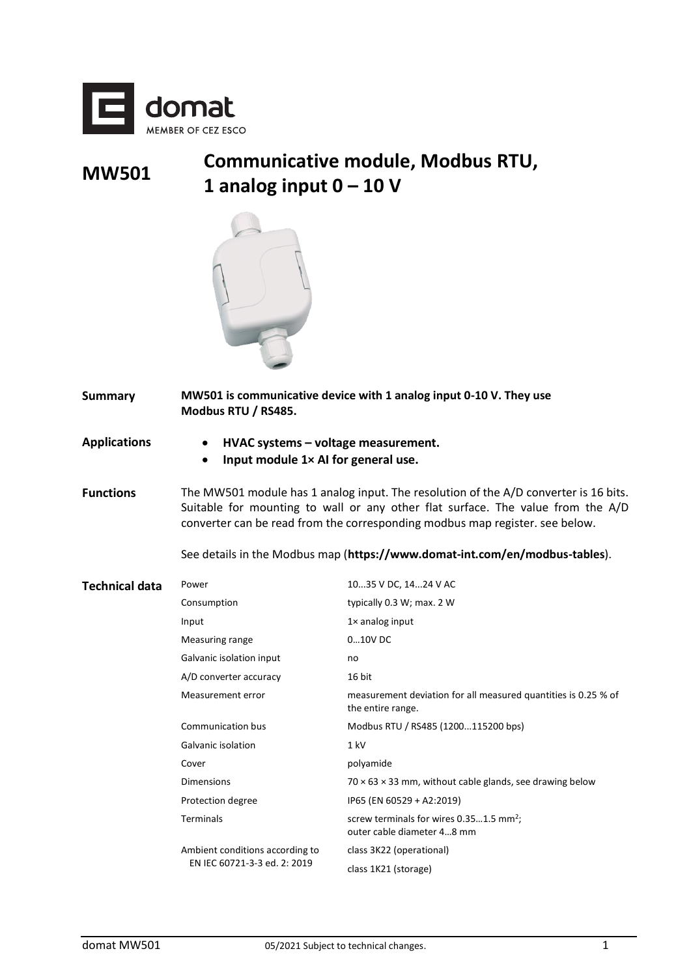

## **MW501 Communicative module, Modbus RTU, 1 analog input 0 – 10 V**



- **Summary MW501 is communicative device with 1 analog input 0-10 V. They use Modbus RTU / RS485.**
- **Applications HVAC systems – voltage measurement.**
	- **Input module 1× AI for general use.**
- **Functions** The MW501 module has 1 analog input. The resolution of the A/D converter is 16 bits. Suitable for mounting to wall or any other flat surface. The value from the A/D converter can be read from the corresponding modbus map register. see below.

See details in the Modbus map (**https://www.domat-int.com/en/modbus-tables**).

| <b>Technical data</b> | Power                                                           | 1035 V DC, 1424 V AC                                                                |
|-----------------------|-----------------------------------------------------------------|-------------------------------------------------------------------------------------|
|                       | Consumption                                                     | typically 0.3 W; max. 2 W                                                           |
|                       | Input                                                           | $1\times$ analog input                                                              |
|                       | Measuring range                                                 | 010V DC                                                                             |
|                       | Galvanic isolation input                                        | no                                                                                  |
|                       | A/D converter accuracy                                          | 16 bit                                                                              |
|                       | Measurement error                                               | measurement deviation for all measured quantities is 0.25 % of<br>the entire range. |
|                       | Communication bus                                               | Modbus RTU / RS485 (1200115200 bps)                                                 |
|                       | Galvanic isolation                                              | 1 kV                                                                                |
|                       | Cover                                                           | polyamide                                                                           |
|                       | <b>Dimensions</b>                                               | $70 \times 63 \times 33$ mm, without cable glands, see drawing below                |
|                       | Protection degree                                               | IP65 (EN 60529 + A2:2019)                                                           |
|                       | Terminals                                                       | screw terminals for wires $0.351.5$ mm <sup>2</sup> ;<br>outer cable diameter 48 mm |
|                       | Ambient conditions according to<br>EN IEC 60721-3-3 ed. 2: 2019 | class 3K22 (operational)                                                            |
|                       |                                                                 | class 1K21 (storage)                                                                |
|                       |                                                                 |                                                                                     |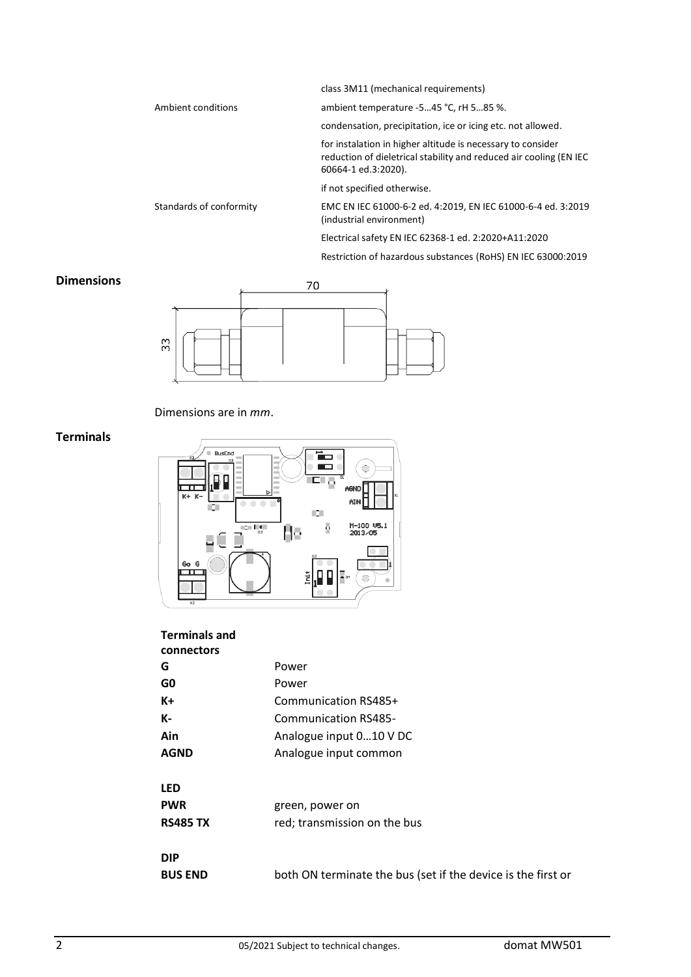class 3M11 (mechanical requirements)

Ambient conditions ambient temperature -5…45 °C, rH 5…85 %.

condensation, precipitation, ice or icing etc. not allowed.

for instalation in higher altitude is necessary to consider reduction of dieletrical stability and reduced air cooling (EN IEC 60664-1 ed.3:2020).

if not specified otherwise.

Standards of conformity EMC EN IEC 61000-6-2 ed. 4:2019, EN IEC 61000-6-4 ed. 3:2019 (industrial environment)

Electrical safety EN IEC 62368-1 ed. 2:2020+A11:2020

Restriction of hazardous substances (RoHS) EN IEC 63000:2019

# **Dimensions** 70 33

#### Dimensions are in *mm*.

#### **Terminals**



### **Terminals and**

| connectors      |                                                              |  |
|-----------------|--------------------------------------------------------------|--|
| G               | Power                                                        |  |
| G0              | Power                                                        |  |
| K+              | Communication RS485+                                         |  |
| К-              | Communication RS485-                                         |  |
| Ain             | Analogue input 010 V DC                                      |  |
| <b>AGND</b>     | Analogue input common                                        |  |
| <b>LED</b>      |                                                              |  |
| <b>PWR</b>      | green, power on                                              |  |
| <b>RS485 TX</b> | red; transmission on the bus                                 |  |
| <b>DIP</b>      |                                                              |  |
| <b>BUS END</b>  | both ON terminate the bus (set if the device is the first or |  |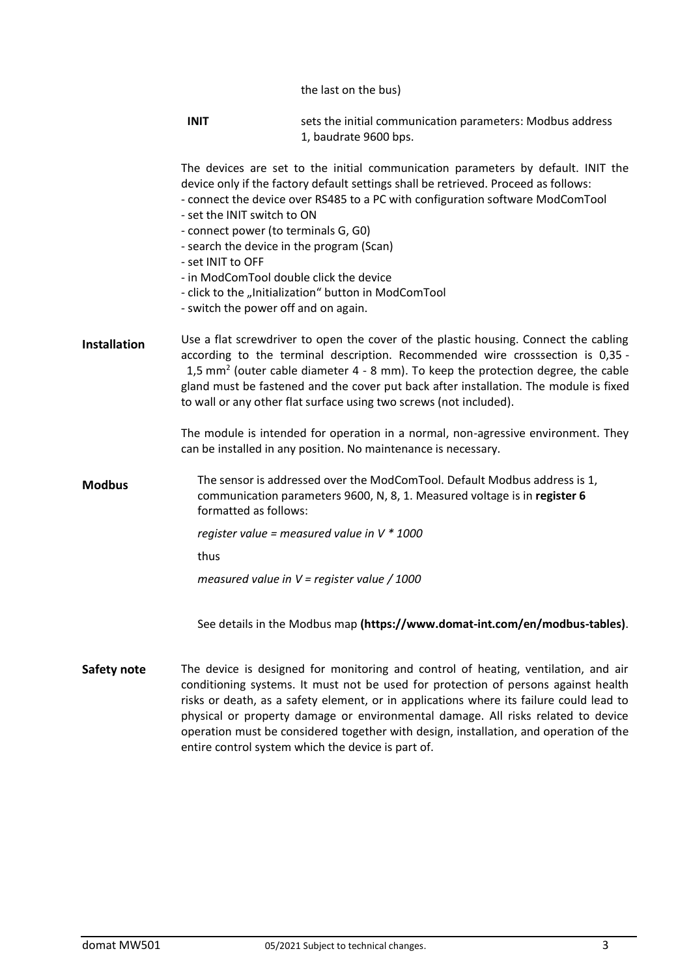the last on the bus)

|                     | <b>INIT</b>                                                                                                                                                                                                                                                                                                                                                                                                                                                                                                                                   | sets the initial communication parameters: Modbus address<br>1, baudrate 9600 bps.                                                                  |
|---------------------|-----------------------------------------------------------------------------------------------------------------------------------------------------------------------------------------------------------------------------------------------------------------------------------------------------------------------------------------------------------------------------------------------------------------------------------------------------------------------------------------------------------------------------------------------|-----------------------------------------------------------------------------------------------------------------------------------------------------|
|                     | The devices are set to the initial communication parameters by default. INIT the<br>device only if the factory default settings shall be retrieved. Proceed as follows:<br>- connect the device over RS485 to a PC with configuration software ModComTool<br>- set the INIT switch to ON<br>- connect power (to terminals G, G0)<br>- search the device in the program (Scan)<br>- set INIT to OFF<br>- in ModComTool double click the device<br>- click to the "Initialization" button in ModComTool<br>- switch the power off and on again. |                                                                                                                                                     |
| <b>Installation</b> | Use a flat screwdriver to open the cover of the plastic housing. Connect the cabling<br>according to the terminal description. Recommended wire crosssection is 0,35 -<br>1,5 mm <sup>2</sup> (outer cable diameter 4 - 8 mm). To keep the protection degree, the cable<br>gland must be fastened and the cover put back after installation. The module is fixed<br>to wall or any other flat surface using two screws (not included).                                                                                                        |                                                                                                                                                     |
|                     |                                                                                                                                                                                                                                                                                                                                                                                                                                                                                                                                               | The module is intended for operation in a normal, non-agressive environment. They<br>can be installed in any position. No maintenance is necessary. |
| <b>Modbus</b>       | The sensor is addressed over the ModComTool. Default Modbus address is 1,<br>communication parameters 9600, N, 8, 1. Measured voltage is in register 6<br>formatted as follows:                                                                                                                                                                                                                                                                                                                                                               |                                                                                                                                                     |
|                     |                                                                                                                                                                                                                                                                                                                                                                                                                                                                                                                                               | register value = measured value in $V * 1000$                                                                                                       |
|                     | thus                                                                                                                                                                                                                                                                                                                                                                                                                                                                                                                                          |                                                                                                                                                     |
|                     |                                                                                                                                                                                                                                                                                                                                                                                                                                                                                                                                               | measured value in $V =$ register value / 1000                                                                                                       |
|                     |                                                                                                                                                                                                                                                                                                                                                                                                                                                                                                                                               | See details in the Modbus map (https://www.domat-int.com/en/modbus-tables).                                                                         |
| Safety note         |                                                                                                                                                                                                                                                                                                                                                                                                                                                                                                                                               | The device is designed for monitoring and control of heating, ventilation, and air                                                                  |

conditioning systems. It must not be used for protection of persons against health risks or death, as a safety element, or in applications where its failure could lead to physical or property damage or environmental damage. All risks related to device operation must be considered together with design, installation, and operation of the entire control system which the device is part of.